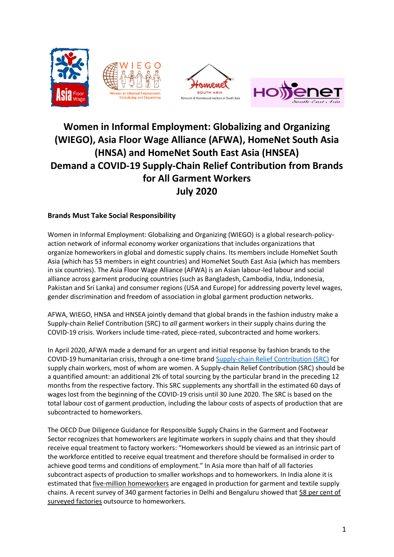

## **Women in Informal Employment: Globalizing and Organizing (WIEGO), Asia Floor Wage Alliance (AFWA), HomeNet South Asia (HNSA) and HomeNet South East Asia (HNSEA) Demand a COVID-19 Supply-Chain Relief Contribution from Brands for All Garment Workers July 2020**

## **Brands Must Take Social Responsibility**

Women in Informal Employment: Globalizing and Organizing (WIEGO) is a global research-policyaction network of informal economy worker organizations that includes organizations that organize homeworkers in global and domestic supply chains. Its members include HomeNet South Asia (which has 53 members in eight countries) and HomeNet South East Asia (which has members in six countries). The Asia Floor Wage Alliance (AFWA) is an Asian labour-led labour and social alliance across garment producing countries (such as Bangladesh, Cambodia, India, Indonesia, Pakistan and Sri Lanka) and consumer regions (USA and Europe) for addressing poverty level wages, gender discrimination and freedom of association in global garment production networks.

AFWA, WIEGO, HNSA and HNSEA jointly demand that global brands in the fashion industry make a Supply-chain Relief Contribution (SRC) to *all* garment workers in their supply chains during the COVID-19 crisis. Workers include time-rated, piece-rated, subcontracted and home workers.

In April 2020, AFWA made a demand for an urgent and initial response by fashion brands to the COVID-19 humanitarian crisis, through a one-time bran[d Supply-chain Relief Contribution \(SRC\)](https://asia.floorwage.org/wp-content/uploads/2020/04/Brand-SRC-for-Garment-Workers-Impacted-by-COVID-19.pdf) for supply chain workers, most of whom are women. A Supply-chain Relief Contribution (SRC) should be a quantified amount: an additional 2% of total sourcing by the particular brand in the preceding 12 months from the respective factory. This SRC supplements any shortfall in the estimated 60 days of wages lost from the beginning of the COVID-19 crisis until 30 June 2020. The SRC is based on the total labour cost of garment production, including the labour costs of aspects of production that are subcontracted to homeworkers.

The OECD Due Diligence Guidance for Responsible Supply Chains in the Garment and Footwear Sector recognizes that homeworkers are legitimate workers in supply chains and that they should receive equal treatment to factory workers: "Homeworkers should be viewed as an intrinsic part of the workforce entitled to receive equal treatment and therefore should be formalised in order to achieve good terms and conditions of employment." In Asia more than half of all factories subcontract aspects of production to smaller workshops and to homeworkers. In India alone it is estimated that [five-million homeworkers](https://onlinelibrary.wiley.com/doi/10.1111/ilr.12149) are engaged in production for garment and textile supply chains. A recent survey of 340 garment factories in Delhi and Bengaluru showed that [58 per cent of](https://onlinelibrary.wiley.com/doi/10.1111/ilr.12149)  [surveyed factories](https://onlinelibrary.wiley.com/doi/10.1111/ilr.12149) outsource to homeworkers.